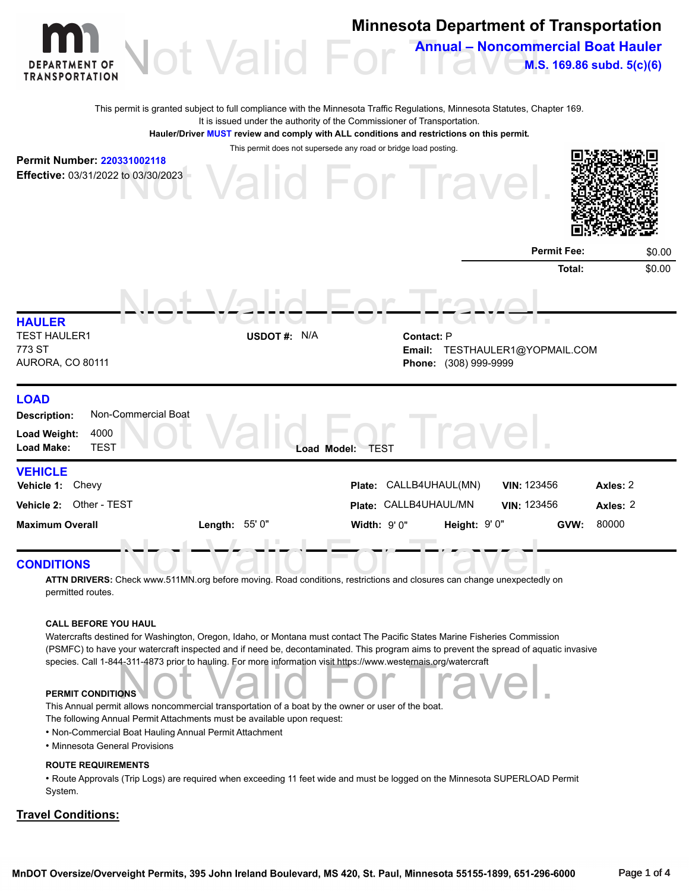

#### **ROUTE REQUIREMENTS**

• Route Approvals (Trip Logs) are required when exceeding 11 feet wide and must be logged on the Minnesota SUPERLOAD Permit System.

#### **Travel Conditions:**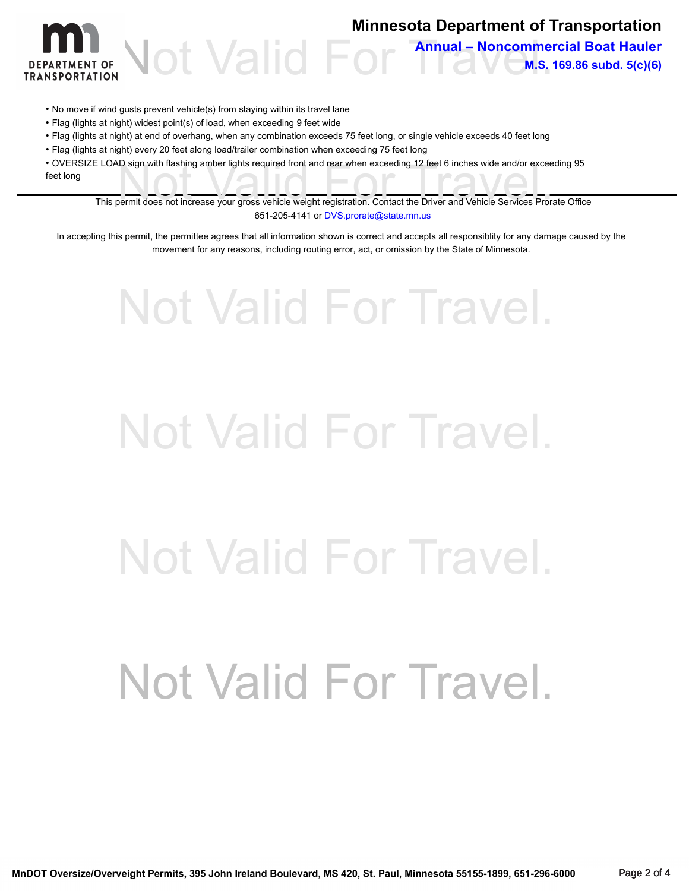

## **Minnesota Department of Transportation**

Not Valid For Annual – Noncommercial Boat Hauler **M.S. 169.86 subd. 5(c)(6)**

- No move if wind gusts prevent vehicle(s) from staying within its travel lane
- Flag (lights at night) widest point(s) of load, when exceeding 9 feet wide
- Flag (lights at night) at end of overhang, when any combination exceeds 75 feet long, or single vehicle exceeds 40 feet long
- Flag (lights at night) every 20 feet along load/trailer combination when exceeding 75 feet long

E LOAD sign with flashing amber lights required front and rear when exceeding 12 feet 6 inches wide and/or exceeding 95<br>This permit does not increase your gross vehicle weight registration. Contact the Driver and Vehicle S • OVERSIZE LOAD sign with flashing amber lights required front and rear when exceeding 12 feet 6 inches wide and/or exceeding 95 feet long

651-205-4141 or **DVS.prorate@state.mn.us** 

In accepting this permit, the permittee agrees that all information shown is correct and accepts all responsiblity for any damage caused by the movement for any reasons, including routing error, act, or omission by the State of Minnesota.

# Not Valid For Travel. Not Valid For Travel. Not Valid For Travel. Not Valid For Travel.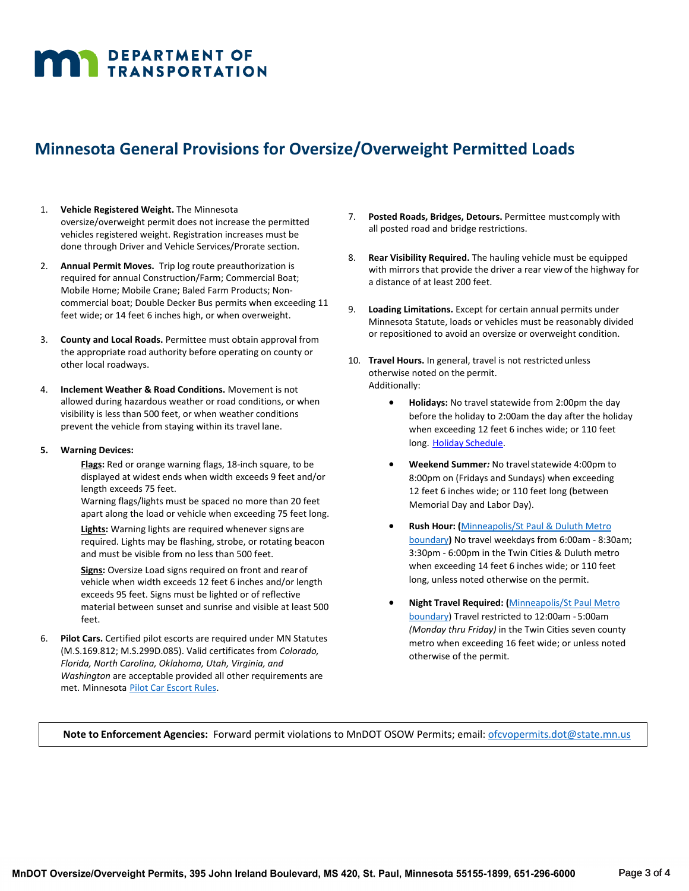# **MAN DEPARTMENT OF TRANSPORTATION**

## **Minnesota General Provisions for Oversize/Overweight Permitted Loads**

- 1. **Vehicle Registered Weight.** The Minnesota oversize/overweight permit does not increase the permitted vehicles registered weight. Registration increases must be done through Driver and Vehicle Services/Prorate section.
- 2. **Annual Permit Moves.** Trip log route preauthorization is required for annual Construction/Farm; Commercial Boat; Mobile Home; Mobile Crane; Baled Farm Products; Noncommercial boat; Double Decker Bus permits when exceeding 11 feet wide; or 14 feet 6 inches high, or when overweight.
- 3. **County and Local Roads.** Permittee must obtain approval from the appropriate road authority before operating on county or other local roadways.
- 4. **Inclement Weather & Road Conditions.** Movement is not allowed during hazardous weather or road conditions, or when visibility is less than 500 feet, or when weather conditions prevent the vehicle from staying within its travel lane.
- **5. Warning Devices:**
	- **Flags:** Red or orange warning flags, 18-inch square, to be displayed at widest ends when width exceeds 9 feet and/or length exceeds 75 feet.

Warning flags/lights must be spaced no more than 20 feet apart along the load or vehicle when exceeding 75 feet long.

**Lights:** Warning lights are required whenever signs are required. Lights may be flashing, strobe, or rotating beacon and must be visible from no less than 500 feet.

**Signs:** Oversize Load signs required on front and rearof vehicle when width exceeds 12 feet 6 inches and/or length exceeds 95 feet. Signs must be lighted or of reflective material between sunset and sunrise and visible at least 500 feet.

6. **Pilot Cars.** Certified pilot escorts are required under MN Statutes (M.S.169.812; M.S.299D.085). Valid certificates from *Colorado, Florida, North Carolina, Oklahoma, Utah, Virginia, and Washington* are acceptable provided all other requirements are met. Minnesota [Pilot Car Escort Rules.](https://www.revisor.mn.gov/rules/7455/)

- 7. **Posted Roads, Bridges, Detours.** Permittee mustcomply with all posted road and bridge restrictions.
- 8. **Rear Visibility Required.** The hauling vehicle must be equipped with mirrors that provide the driver a rear viewof the highway for a distance of at least 200 feet.
- 9. **Loading Limitations.** Except for certain annual permits under Minnesota Statute, loads or vehicles must be reasonably divided or repositioned to avoid an oversize or overweight condition.
- 10. **Travel Hours.** In general, travel is not restrictedunless otherwise noted on the permit. Additionally:
	- **Holidays:** No travel statewide from 2:00pm the day before the holiday to 2:00am the day after the holiday when exceeding 12 feet 6 inches wide; or 110 feet long. Holiday [Schedule.](http://www.dot.state.mn.us/cvo/oversize/holiday-schedule.html)
	- **Weekend Summer***:* No travelstatewide 4:00pm to 8:00pm on (Fridays and Sundays) when exceeding 12 feet 6 inches wide; or 110 feet long (between Memorial Day and Labor Day).
	- **Rush Hour: (**[Minneapolis/St Paul &](https://mndot.maps.arcgis.com/apps/webappviewer/index.html?id=aa2e76030d914589a9c04393debec5ef) Duluth Metro [boundary](https://mndot.maps.arcgis.com/apps/webappviewer/index.html?id=aa2e76030d914589a9c04393debec5ef)**)** No travel weekdays from 6:00am - 8:30am; 3:30pm - 6:00pm in the Twin Cities & Duluth metro when exceeding 14 feet 6 inches wide; or 110 feet long, unless noted otherwise on the permit.
	- **Night Travel Required: (**[Minneapolis/St Paul Metro](https://mndot.maps.arcgis.com/apps/webappviewer/index.html?id=aa2e76030d914589a9c04393debec5ef) [boundary\)](https://mndot.maps.arcgis.com/apps/webappviewer/index.html?id=aa2e76030d914589a9c04393debec5ef) Travel restricted to 12:00am - 5:00am *(Monday thru Friday)* in the Twin Cities seven county metro when exceeding 16 feet wide; or unless noted otherwise of the permit.

**Note to Enforcement Agencies:** Forward permit violations to MnDOT OSOW Permits; email: [ofcvopermits.dot@state.mn.us](mailto:ofcvopermits.dot@state.mn.us)